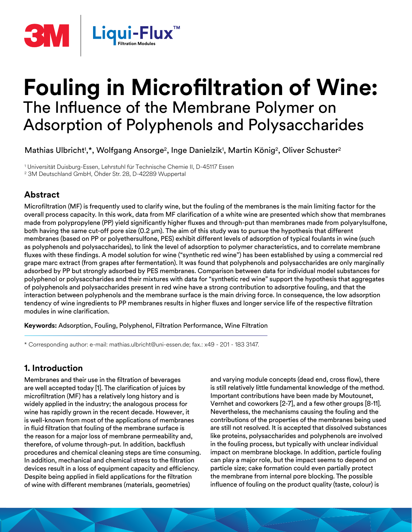

# **Fouling in Microfiltration of Wine:**  The Influence of the Membrane Polymer on Adsorption of Polyphenols and Polysaccharides

Mathias Ulbricht<sup>1</sup>,\*, Wolfgang Ansorge<sup>2</sup>, Inge Danielzik<sup>1</sup>, Martin König<sup>2</sup>, Oliver Schuster<sup>2</sup>

1 Universität Duisburg-Essen, Lehrstuhl für Technische Chemie II, D-45117 Essen 2 3M Deutschland GmbH, Öhder Str. 28, D-42289 Wuppertal

## **Abstract**

Microfiltration (MF) is frequently used to clarify wine, but the fouling of the membranes is the main limiting factor for the overall process capacity. In this work, data from MF clarification of a white wine are presented which show that membranes made from polypropylene (PP) yield significantly higher fluxes and through-put than membranes made from polyarylsulfone, both having the same cut-off pore size (0.2 μm). The aim of this study was to pursue the hypothesis that different membranes (based on PP or polyethersulfone, PES) exhibit different levels of adsorption of typical foulants in wine (such as polyphenols and polysaccharides), to link the level of adsorption to polymer characteristics, and to correlate membrane fluxes with these findings. A model solution for wine ("synthetic red wine") has been established by using a commercial red grape marc extract (from grapes after fermentation). It was found that polyphenols and polysaccharides are only marginally adsorbed by PP but strongly adsorbed by PES membranes. Comparison between data for individual model substances for polyphenol or polysaccharides and their mixtures with data for "synthetic red wine" support the hypothesis that aggregates of polyphenols and polysaccharides present in red wine have a strong contribution to adsorptive fouling, and that the interaction between polyphenols and the membrane surface is the main driving force. In consequence, the low adsorption tendency of wine ingredients to PP membranes results in higher fluxes and longer service life of the respective filtration modules in wine clarification.

**Keywords:** Adsorption, Fouling, Polyphenol, Filtration Performance, Wine Filtration

\* Corresponding author: e-mail: mathias.ulbricht@uni-essen.de; fax.: x49 - 201 - 183 3147.

## **1. Introduction**

Membranes and their use in the filtration of beverages are well accepted today [1]. The clarification of juices by microfiltration (MF) has a relatively long history and is widely applied in the industry; the analogous process for wine has rapidly grown in the recent decade. However, it is well-known from most of the applications of membranes in fluid filtration that fouling of the membrane surface is the reason for a major loss of membrane permeability and, therefore, of volume through-put. In addition, backflush procedures and chemical cleaning steps are time consuming. In addition, mechanical and chemical stress to the filtration devices result in a loss of equipment capacity and efficiency. Despite being applied in field applications for the filtration of wine with different membranes (materials, geometries)

and varying module concepts (dead end, cross flow), there is still relatively little fundamental knowledge of the method. Important contributions have been made by Moutounet, Vernhet and coworkers [2-7], and a few other groups [8-11]. Nevertheless, the mechanisms causing the fouling and the contributions of the properties of the membranes being used are still not resolved. It is accepted that dissolved substances like proteins, polysaccharides and polyphenols are involved in the fouling process, but typically with unclear individual impact on membrane blockage. In addition, particle fouling can play a major role, but the impact seems to depend on particle size; cake formation could even partially protect the membrane from internal pore blocking. The possible influence of fouling on the product quality (taste, colour) is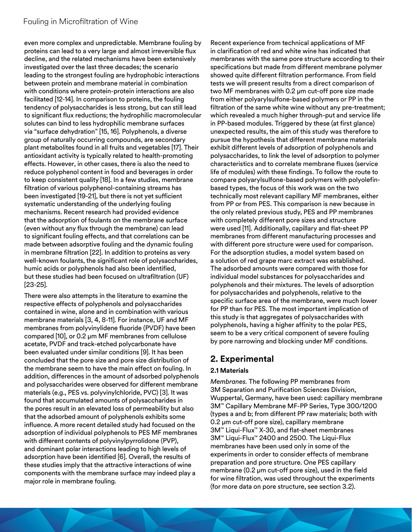even more complex and unpredictable. Membrane fouling by proteins can lead to a very large and almost irreversible flux decline, and the related mechanisms have been extensively investigated over the last three decades; the scenario leading to the strongest fouling are hydrophobic interactions between protein and membrane material in combination with conditions where protein-protein interactions are also facilitated [12-14]. In comparison to proteins, the fouling tendency of polysaccharides is less strong, but can still lead to significant flux reductions; the hydrophilic macromolecular solutes can bind to less hydrophilic membrane surfaces via "surface dehydration" [15, 16]. Polyphenols, a diverse group of naturally occurring compounds, are secondary plant metabolites found in all fruits and vegetables [17]. Their antioxidant activity is typically related to health-promoting effects. However, in other cases, there is also the need to reduce polyphenol content in food and beverages in order to keep consistent quality [18]. In a few studies, membrane filtration of various polyphenol-containing streams has been investigated [19-21], but there is not yet sufficient systematic understanding of the underlying fouling mechanisms. Recent research had provided evidence that the adsorption of foulants on the membrane surface (even without any flux through the membrane) can lead to significant fouling effects, and that correlations can be made between adsorptive fouling and the dynamic fouling in membrane filtration [22]. In addition to proteins as very well-known foulants, the significant role of polysaccharides, humic acids or polyphenols had also been identified, but these studies had been focused on ultrafiltration (UF) [23-25].

There were also attempts in the literature to examine the respective effects of polyphenols and polysaccharides contained in wine, alone and in combination with various membrane materials [3, 4, 8-11]. For instance, UF and MF membranes from polyvinylidene fluoride (PVDF) have been compared [10], or 0.2 μm MF membranes from cellulose acetate, PVDF and track-etched polycarbonate have been evaluated under similar conditions [9]. It has been concluded that the pore size and pore size distribution of the membrane seem to have the main effect on fouling. In addition, differences in the amount of adsorbed polyphenols and polysaccharides were observed for different membrane materials (e.g., PES vs. polyvinylchloride, PVC) [3]. It was found that accumulated amounts of polysaccharides in the pores result in an elevated loss of permeability but also that the adsorbed amount of polyphenols exhibits some influence. A more recent detailed study had focused on the adsorption of individual polyphenols to PES MF membranes with different contents of polyvinylpyrrolidone (PVP), and dominant polar interactions leading to high levels of adsorption have been identified [6]. Overall, the results of these studies imply that the attractive interactions of wine components with the membrane surface may indeed play a major role in membrane fouling.

Recent experience from technical applications of MF in clarification of red and white wine has indicated that membranes with the same pore structure according to their specifications but made from different membrane polymer showed quite different filtration performance. From field tests we will present results from a direct comparison of two MF membranes with 0.2 μm cut-off pore size made from either polyarylsulfone-based polymers or PP in the filtration of the same white wine without any pre-treatment; which revealed a much higher through-put and service life in PP-based modules. Triggered by these (at first glance) unexpected results, the aim of this study was therefore to pursue the hypothesis that different membrane materials exhibit different levels of adsorption of polyphenols and polysaccharides, to link the level of adsorption to polymer characteristics and to correlate membrane fluxes (service life of modules) with these findings. To follow the route to compare polyarylsulfone-based polymers with polyolefinbased types, the focus of this work was on the two technically most relevant capillary MF membranes, either from PP or from PES. This comparison is new because in the only related previous study, PES and PP membranes with completely different pore sizes and structure were used [11]. Additionally, capillary and flat-sheet PP membranes from different manufacturing processes and with different pore structure were used for comparison. For the adsorption studies, a model system based on a solution of red grape marc extract was established. The adsorbed amounts were compared with those for individual model substances for polysaccharides and polyphenols and their mixtures. The levels of adsorption for polysaccharides and polyphenols, relative to the specific surface area of the membrane, were much lower for PP than for PES. The most important implication of this study is that aggregates of polysaccharides with polyphenols, having a higher affinity to the polar PES, seem to be a very critical component of severe fouling by pore narrowing and blocking under MF conditions.

## **2. Experimental**

### **2.1 Materials**

*Membranes.* The following PP membranes from 3M Separation and Purification Sciences Division, Wuppertal, Germany, have been used: capillary membrane 3M™ Capillary Membrane MF-PP Series, Type 300/1200 (types a and b; from different PP raw materials; both with 0.2 μm cut-off pore size), capillary membrane 3M™ Liqui-Flux™ X-30, and flat-sheet membranes 3M™ Liqui-Flux™ 2400 and 2500. The Liqui-Flux membranes have been used only in some of the experiments in order to consider effects of membrane preparation and pore structure. One PES capillary membrane (0.2 μm cut-off pore size), used in the field for wine filtration, was used throughout the experiments (for more data on pore structure, see section 3.2).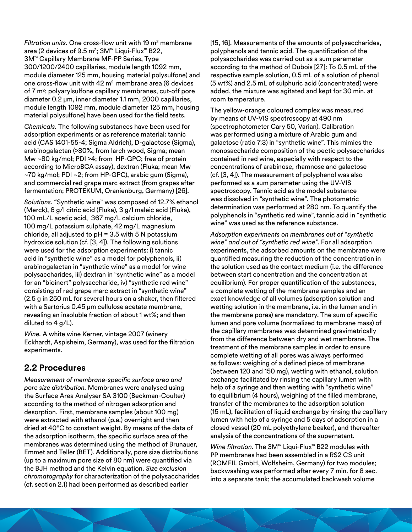*Filtration units.* One cross-flow unit with 19 m2 membrane area (2 devices of 9.5 m<sup>2</sup>; 3M™ Liqui-Flux™ B22, 3M™ Capillary Membrane MF-PP Series, Type 300/1200/2400 capillaries, module length 1092 mm, module diameter 125 mm, housing material polysulfone) and one cross-flow unit with 42 m2 membrane area (6 devices of 7 m2; polyarylsulfone capillary membranes, cut-off pore diameter 0.2 μm, inner diameter 1.1 mm, 2000 capillaries, module length 1092 mm, module diameter 125 mm, housing material polysulfone) have been used for the field tests.

*Chemicals.* The following substances have been used for adsorption experiments or as reference material: tannic acid (CAS 1401-55-4; Sigma Aldrich), D-galactose (Sigma), arabinogalactan (>80%, from larch wood, Sigma; mean Mw ~80 kg/mol; PDI >4; from HP-GPC; free of protein according to MicroBCA assay), dextran (Fluka; mean Mw ~70 kg/mol; PDI ~2; from HP-GPC), arabic gum (Sigma), and commercial red grape marc extract (from grapes after fermentation; PROTEKUM, Oranienburg, Germany) [26].

*Solutions.* "Synthetic wine" was composed of 12.7% ethanol (Merck), 6 g/l citric acid (Fluka), 3 g/l maleic acid (Fluka), 100 mL/L acetic acid, 367 mg/L calcium chloride, 100 mg/L potassium sulphate, 42 mg/L magnesium chloride, all adjusted to  $pH = 3.5$  with 5 N potassium hydroxide solution (cf. [3, 4]). The following solutions were used for the adsorption experiments: i) tannic acid in "synthetic wine" as a model for polyphenols, ii) arabinogalactan in "synthetic wine" as a model for wine polysaccharides, iii) dextran in "synthetic wine" as a model for an "bioinert" polysaccharide, iv) "synthetic red wine" consisting of red grape marc extract in "synthetic wine" (2.5 g in 250 mL for several hours on a shaker, then filtered with a Sartorius 0.45 μm cellulose acetate membrane, revealing an insoluble fraction of about 1 wt%; and then diluted to 4 g/L).

*Wine.* A white wine Kerner, vintage 2007 (winery Eckhardt, Aspisheim, Germany), was used for the filtration experiments.

## **2.2 Procedures**

*Measurement of membrane-specific surface area and pore size distribution.* Membranes were analysed using the Surface Area Analyser SA 3100 (Beckman-Coulter) according to the method of nitrogen adsorption and desorption. First, membrane samples (about 100 mg) were extracted with ethanol (p.a.) overnight and then dried at 40°C to constant weight. By means of the data of the adsorption isotherm, the specific surface area of the membranes was determined using the method of Brunauer, Emmet and Teller (BET). Additionally, pore size distributions (up to a maximum pore size of 80 nm) were quantified via the BJH method and the Kelvin equation. *Size exclusion chromatography* for characterization of the polysaccharides (cf. section 2.1) had been performed as described earlier

[15, 16]. Measurements of the amounts of polysaccharides, polyphenols and tannic acid. The quantification of the polysaccharides was carried out as a sum parameter according to the method of Dubois [27]: To 0.5 mL of the respective sample solution, 0.5 mL of a solution of phenol (5 wt%) and 2.5 mL of sulphuric acid (concentrated) were added, the mixture was agitated and kept for 30 min. at room temperature.

The yellow-orange coloured complex was measured by means of UV-VIS spectroscopy at 490 nm (spectrophotometer Cary 50, Varian). Calibration was performed using a mixture of Arabic gum and galactose (ratio 7:3) in "synthetic wine". This mimics the monosaccharide composition of the pectic polysaccharides contained in red wine, especially with respect to the concentrations of arabinose, rhamnose and galactose (cf. [3, 4]). The measurement of polyphenol was also performed as a sum parameter using the UV-VIS spectroscopy. Tannic acid as the model substance was dissolved in "synthetic wine". The photometric determination was performed at 280 nm. To quantify the polyphenols in "synthetic red wine", tannic acid in "synthetic wine" was used as the reference substance.

*Adsorption experiments on membranes out of "synthetic wine" and out of "synthetic red wine"*. For all adsorption experiments, the adsorbed amounts on the membrane were quantified measuring the reduction of the concentration in the solution used as the contact medium (i.e. the difference between start concentration and the concentration at equilibrium). For proper quantification of the substances, a complete wetting of the membrane samples and an exact knowledge of all volumes (adsorption solution and wetting solution in the membrane, i.e. in the lumen and in the membrane pores) are mandatory. The sum of specific lumen and pore volume (normalized to membrane mass) of the capillary membranes was determined gravimetrically from the difference between dry and wet membrane. The treatment of the membrane samples in order to ensure complete wetting of all pores was always performed as follows: weighing of a defined piece of membrane (between 120 and 150 mg), wetting with ethanol, solution exchange facilitated by rinsing the capillary lumen with help of a syringe and then wetting with "synthetic wine" to equilibrium (4 hours), weighing of the filled membrane, transfer of the membranes to the adsorption solution (15 mL), facilitation of liquid exchange by rinsing the capillary lumen with help of a syringe and 5 days of adsorption in a closed vessel (20 mL polyethylene beaker), and thereafter analysis of the concentrations of the supernatant.

*Wine filtration*. The 3M™ Liqui-Flux™ B22 modules with PP membranes had been assembled in a RS2 CS unit (ROMFIL GmbH, Wolfsheim, Germany) for two modules; backwashing was performed after every 7 min. for 8 sec. into a separate tank; the accumulated backwash volume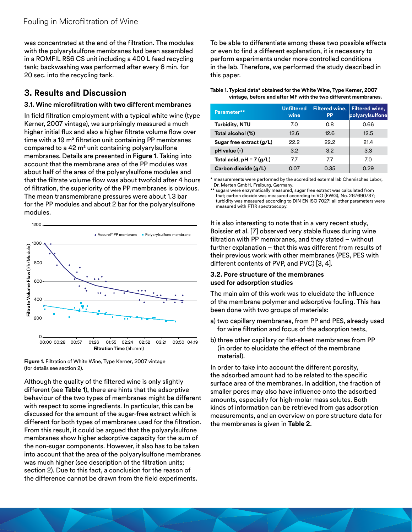was concentrated at the end of the filtration. The modules with the polyarylsulfone membranes had been assembled in a ROMFIL RS6 CS unit including a 400 L feed recycling tank; backwashing was performed after every 6 min. for 20 sec. into the recycling tank.

## **3. Results and Discussion**

#### **3.1. Wine microfiltration with two different membranes**

In field filtration employment with a typical white wine (type Kerner, 2007 vintage), we surprisingly measured a much higher initial flux and also a higher filtrate volume flow over time with a 19 m² filtration unit containing PP membranes compared to a 42 m² unit containing polyarylsulfone membranes. Details are presented in **Figure 1**. Taking into account that the membrane area of the PP modules was about half of the area of the polyarylsulfone modules and that the filtrate volume flow was about twofold after 4 hours of filtration, the superiority of the PP membranes is obvious. The mean transmembrane pressures were about 1.3 bar for the PP modules and about 2 bar for the polyarylsulfone modules.



**Figure 1.** Filtration of White Wine, Type Kerner, 2007 vintage (for details see section 2).

Although the quality of the filtered wine is only slightly different (see **Table 1**), there are hints that the adsorptive behaviour of the two types of membranes might be different with respect to some ingredients. In particular, this can be discussed for the amount of the sugar-free extract which is different for both types of membranes used for the filtration. From this result, it could be argued that the polyarylsulfone membranes show higher adsorptive capacity for the sum of the non-sugar components. However, it also has to be taken into account that the area of the polyarylsulfone membranes was much higher (see description of the filtration units; section 2). Due to this fact, a conclusion for the reason of the difference cannot be drawn from the field experiments.

To be able to differentiate among these two possible effects or even to find a different explanation, it is necessary to perform experiments under more controlled conditions in the lab. Therefore, we performed the study described in this paper.

| Table 1. Typical data* obtained for the White Wine, Type Kerner, 2007 |
|-----------------------------------------------------------------------|
| vintage, before and after MF with the two different membranes.        |

| Parameter**               | <b>Unfiltered</b><br>wine | <b>Filtered wine,</b><br>PP | <b>Filtered wine,</b><br>polyarylsulfone |
|---------------------------|---------------------------|-----------------------------|------------------------------------------|
| <b>Turbidity, NTU</b>     | 7.0                       | 0.8                         | 0.66                                     |
| Total alcohol (%)         | 12.6                      | 12.6                        | 12.5                                     |
| Sugar free extract (g/L)  | 22.2                      | 22.2                        | 21.4                                     |
| $pH$ value $(-)$          | 3.2                       | 3.2                         | 3.3                                      |
| Total acid, $pH = 7(g/L)$ | 7.7                       | 7.7                         | 7.0                                      |
| Carbon dioxide (g/L)      | 0.07                      | 0.35                        | 0.29                                     |

\* measurements were performed by the accredited external lab Chemisches Labor, Dr. Merten GmbH, Freiburg, Germany.

\*\* sugars were enzymatically measured, sugar free extract was calculated from that; carbon dioxide was measured according to VO (EWG), No. 267690/37; turbidity was measured according to DIN EN ISO 7027; all other parameters were measured with FTIR spectroscopy.

It is also interesting to note that in a very recent study, Boissier et al. [7] observed very stable fluxes during wine filtration with PP membranes, and they stated – without further explanation – that this was different from results of their previous work with other membranes (PES, PES with different contents of PVP, and PVC) [3, 4].

#### **3.2. Pore structure of the membranes used for adsorption studies**

The main aim of this work was to elucidate the influence of the membrane polymer and adsorptive fouling. This has been done with two groups of materials:

- a) two capillary membranes, from PP and PES, already used for wine filtration and focus of the adsorption tests,
- b) three other capillary or flat-sheet membranes from PP (in order to elucidate the effect of the membrane material).

In order to take into account the different porosity, the adsorbed amount had to be related to the specific surface area of the membranes. In addition, the fraction of smaller pores may also have influence onto the adsorbed amounts, especially for high-molar mass solutes. Both kinds of information can be retrieved from gas adsorption measurements, and an overview on pore structure data for the membranes is given in **Table 2**.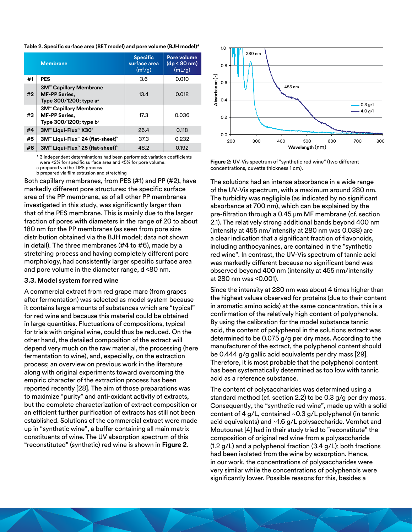**Table 2. Specific surface area (BET model) and pore volume (BJH model)\***

|    | <b>Membrane</b>                                                                                        | <b>Specific</b><br>surface area<br>(m <sup>2</sup> /q) | Pore volume<br>$(dp < 80$ nm)<br>(mL/q) |
|----|--------------------------------------------------------------------------------------------------------|--------------------------------------------------------|-----------------------------------------|
| #1 | <b>PES</b>                                                                                             | 3.6                                                    | 0.010                                   |
| #2 | <b>3M<sup>™</sup> Capillary Membrane</b><br><b>MF-PP Series,</b><br>Type 300/1200; type a <sup>a</sup> | 13.4                                                   | 0.018                                   |
| #3 | <b>3M™ Capillary Membrane</b><br><b>MF-PP Series,</b><br>Type 300/1200; type b <sup>a</sup>            | 17.3                                                   | 0.036                                   |
| #4 | 3M™ Liqui-Flux™ X30 <sup>®</sup>                                                                       | 26.4                                                   | 0.118                                   |
| #5 | 3M™ Liqui-Flux™ 24 (flat-sheet) <sup>®</sup>                                                           | 37.3                                                   | 0.232                                   |
| #6 | 3M™ Liqui-Flux™ 25 (flat-sheet)°                                                                       | 48.2                                                   | 0.192                                   |

\* 3 independent determinations had been performed; variation coefficients were <2% for specific surface area and <5% for pore volume. a prepared via the TIPS process

b prepared via film extrusion and stretching

Both capillary membranes, from PES (#1) and PP (#2), have markedly different pore structures: the specific surface area of the PP membrane, as of all other PP membranes investigated in this study, was significantly larger than that of the PES membrane. This is mainly due to the larger fraction of pores with diameters in the range of 20 to about 180 nm for the PP membranes (as seen from pore size distribution obtained via the BJH model; data not shown in detail). The three membranes (#4 to #6), made by a stretching process and having completely different pore morphology, had consistently larger specific surface area and pore volume in the diameter range, d <80 nm.

#### **3.3. Model system for red wine**

A commercial extract from red grape marc (from grapes after fermentation) was selected as model system because it contains large amounts of substances which are "typical" for red wine and because this material could be obtained in large quantities. Fluctuations of compositions, typical for trials with original wine, could thus be reduced. On the other hand, the detailed composition of the extract will depend very much on the raw material, the processing (here fermentation to wine), and, especially, on the extraction process; an overview on previous work in the literature along with original experiments toward overcoming the empiric character of the extraction process has been reported recently [28]. The aim of those preparations was to maximize "purity" and anti-oxidant activity of extracts, but the complete characterization of extract composition or an efficient further purification of extracts has still not been established. Solutions of the commercial extract were made up in "synthetic wine", a buffer containing all main matrix constituents of wine. The UV absorption spectrum of this "reconstituted" (synthetic) red wine is shown in **Figure 2**.



**Figure 2:** UV-Vis spectrum of "synthetic red wine" (two different concentrations, cuvette thickness 1 cm).

The solutions had an intense absorbance in a wide range of the UV-Vis spectrum, with a maximum around 280 nm. The turbidity was negligible (as indicated by no significant absorbance at 700 nm), which can be explained by the pre-filtration through a 0.45 µm MF membrane (cf. section 2.1). The relatively strong additional bands beyond 400 nm (intensity at 455 nm/intensity at 280 nm was 0.038) are a clear indication that a significant fraction of flavonoids, including anthocyanines, are contained in the "synthetic red wine". In contrast, the UV-Vis spectrum of tannic acid was markedly different because no significant band was observed beyond 400 nm (intensity at 455 nm/intensity at 280 nm was <0.001).

Since the intensity at 280 nm was about 4 times higher than the highest values observed for proteins (due to their content in aromatic amino acids) at the same concentration, this is a confirmation of the relatively high content of polyphenols. By using the calibration for the model substance tannic acid, the content of polyphenol in the solutions extract was determined to be 0.075 g/g per dry mass. According to the manufacturer of the extract, the polyphenol content should be 0.444 g/g gallic acid equivalents per dry mass [29]. Therefore, it is most probable that the polyphenol content has been systematically determined as too low with tannic acid as a reference substance.

The content of polysaccharides was determined using a standard method (cf. section 2.2) to be 0.3 g/g per dry mass. Consequently, the "synthetic red wine", made up with a solid content of 4 g/L, contained ~0.3 g/L polyphenol (in tannic acid equivalents) and ~1.6 g/L polysaccharide. Vernhet and Moutounet [4] had in their study tried to "reconstitute" the composition of original red wine from a polysaccharide (1.2 g/L) and a polyphenol fraction (3.4 g/L); both fractions had been isolated from the wine by adsorption. Hence, in our work, the concentrations of polysaccharides were very similar while the concentrations of polyphenols were significantly lower. Possible reasons for this, besides a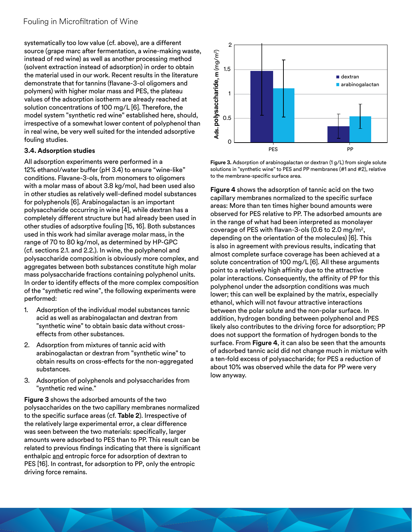systematically too low value (cf. above), are a different source (grape marc after fermentation, a wine-making waste, instead of red wine) as well as another processing method (solvent extraction instead of adsorption) in order to obtain the material used in our work. Recent results in the literature demonstrate that for tannins (flavane-3-ol oligomers and polymers) with higher molar mass and PES, the plateau values of the adsorption isotherm are already reached at solution concentrations of 100 mg/L [6]. Therefore, the model system "synthetic red wine" established here, should, irrespective of a somewhat lower content of polyphenol than in real wine, be very well suited for the intended adsorptive fouling studies.

#### **3.4. Adsorption studies**

All adsorption experiments were performed in a 12% ethanol/water buffer (pH 3.4) to ensure "wine-like" conditions. Flavane-3-ols, from monomers to oligomers with a molar mass of about 3.8 kg/mol, had been used also in other studies as relatively well-defined model substances for polyphenols [6]. Arabinogalactan is an important polysaccharide occurring in wine [4], while dextran has a completely different structure but had already been used in other studies of adsorptive fouling [15, 16]. Both substances used in this work had similar average molar mass, in the range of 70 to 80 kg/mol, as determined by HP-GPC (cf. sections 2.1. and 2.2.). In wine, the polyphenol and polysaccharide composition is obviously more complex, and aggregates between both substances constitute high molar mass polysaccharide fractions containing polyphenol units. In order to identify effects of the more complex composition of the "synthetic red wine", the following experiments were performed:

- 1. Adsorption of the individual model substances tannic acid as well as arabinogalactan and dextran from "synthetic wine" to obtain basic data without crosseffects from other substances.
- 2. Adsorption from mixtures of tannic acid with arabinogalactan or dextran from "synthetic wine" to obtain results on cross-effects for the non-aggregated substances.
- 3. Adsorption of polyphenols and polysaccharides from "synthetic red wine."

**Figure 3** shows the adsorbed amounts of the two polysaccharides on the two capillary membranes normalized to the specific surface areas (cf. **Table 2**). Irrespective of the relatively large experimental error, a clear difference was seen between the two materials: specifically, larger amounts were adsorbed to PES than to PP. This result can be related to previous findings indicating that there is significant enthalpic and entropic force for adsorption of dextran to PES [16]. In contrast, for adsorption to PP, only the entropic driving force remains.



**Figure 3.** Adsorption of arabinogalactan or dextran (1 g/L) from single solute solutions in "synthetic wine" to PES and PP membranes (#1 and #2), relative to the membrane-specific surface area.

**Figure 4** shows the adsorption of tannic acid on the two capillary membranes normalized to the specific surface areas: More than ten times higher bound amounts were observed for PES relative to PP. The adsorbed amounts are in the range of what had been interpreted as monolayer coverage of PES with flavan-3-ols (0.6 to 2.0 mg/m2, depending on the orientation of the molecules) [6]. This is also in agreement with previous results, indicating that almost complete surface coverage has been achieved at a solute concentration of 100 mg/L [6]. All these arguments point to a relatively high affinity due to the attractive polar interactions. Consequently, the affinity of PP for this polyphenol under the adsorption conditions was much lower; this can well be explained by the matrix, especially ethanol, which will not favour attractive interactions between the polar solute and the non-polar surface. In addition, hydrogen bonding between polyphenol and PES likely also contributes to the driving force for adsorption; PP does not support the formation of hydrogen bonds to the surface. From **Figure 4**, it can also be seen that the amounts of adsorbed tannic acid did not change much in mixture with a ten-fold excess of polysaccharide; for PES a reduction of about 10% was observed while the data for PP were very low anyway.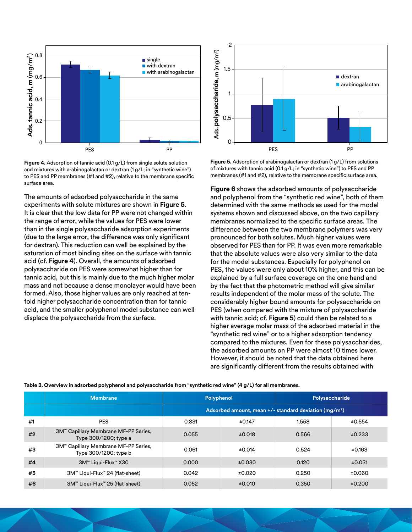

Figure 4. Adsorption of tannic acid (0.1 g/L) from single solute solution and mixtures with arabinogalactan or dextran (1 g/L; in "synthetic wine") to PES and PP membranes (#1 and #2), relative to the membrane specific surface area.

The amounts of adsorbed polysaccharide in the same experiments with solute mixtures are shown in **Figure 5**. It is clear that the low data for PP were not changed within the range of error, while the values for PES were lower than in the single polysaccharide adsorption experiments (due to the large error, the difference was only significant for dextran). This reduction can well be explained by the saturation of most binding sites on the surface with tannic acid (cf. **Figure 4**). Overall, the amounts of adsorbed polysaccharide on PES were somewhat higher than for tannic acid, but this is mainly due to the much higher molar mass and not because a dense monolayer would have been formed. Also, those higher values are only reached at tenfold higher polysaccharide concentration than for tannic acid, and the smaller polyphenol model substance can well displace the polysaccharide from the surface.



**Figure 5.** Adsorption of arabinogalactan or dextran (1 g/L) from solutions of mixtures with tannic acid (0.1 g/L; in "synthetic wine") to PES and PP membranes (#1 and #2), relative to the membrane specific surface area.

**Figure 6** shows the adsorbed amounts of polysaccharide and polyphenol from the "synthetic red wine", both of them determined with the same methods as used for the model systems shown and discussed above, on the two capillary membranes normalized to the specific surface areas. The difference between the two membrane polymers was very pronounced for both solutes. Much higher values were observed for PES than for PP. It was even more remarkable that the absolute values were also very similar to the data for the model substances. Especially for polyphenol on PES, the values were only about 10% higher, and this can be explained by a full surface coverage on the one hand and by the fact that the photometric method will give similar results independent of the molar mass of the solute. The considerably higher bound amounts for polysaccharide on PES (when compared with the mixture of polysaccharide with tannic acid; cf. **Figure 5**) could then be related to a higher average molar mass of the adsorbed material in the "synthetic red wine" or to a higher adsorption tendency compared to the mixtures. Even for these polysaccharides, the adsorbed amounts on PP were almost 10 times lower. However, it should be noted that the data obtained here are significantly different from the results obtained with

| Table 3. Overview in adsorbed polyphenol and polysaccharide from "synthetic red wine" (4 g/L) for all membranes. |  |  |  |  |
|------------------------------------------------------------------------------------------------------------------|--|--|--|--|
|------------------------------------------------------------------------------------------------------------------|--|--|--|--|

|    | <b>Membrane</b>                                               | Polyphenol                                                          |        | Polysaccharide |        |
|----|---------------------------------------------------------------|---------------------------------------------------------------------|--------|----------------|--------|
|    |                                                               | Adsorbed amount, mean $+/-$ standard deviation (mg/m <sup>2</sup> ) |        |                |        |
| #1 | <b>PES</b>                                                    | 0.831                                                               | ±0.147 | 1.558          | ±0.554 |
| #2 | 3M™ Capillary Membrane MF-PP Series,<br>Type 300/1200; type a | 0.055                                                               | ±0.018 | 0.566          | ±0.233 |
| #3 | 3M™ Capillary Membrane MF-PP Series,<br>Type 300/1200; type b | 0.061                                                               | ±0.014 | 0.524          | ±0.163 |
| #4 | 3M™ Liqui-Flux™ X30                                           | 0.000                                                               | ±0.030 | 0.120          | ±0.031 |
| #5 | 3M™ Liqui-Flux™ 24 (flat-sheet)                               | 0.042                                                               | ±0.020 | 0.250          | ±0.060 |
| #6 | 3M™ Liqui-Flux™ 25 (flat-sheet)                               | 0.052                                                               | ±0.010 | 0.350          | ±0.200 |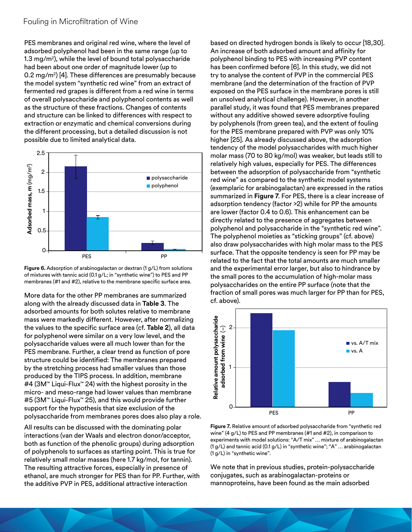PES membranes and original red wine, where the level of adsorbed polyphenol had been in the same range (up to 1.3 mg/m2), while the level of bound total polysaccharide had been about one order of magnitude lower (up to 0.2 mg/m2) [4]. These differences are presumably because the model system "synthetic red wine" from an extract of fermented red grapes is different from a red wine in terms of overall polysaccharide and polyphenol contents as well as the structure of these fractions. Changes of contents and structure can be linked to differences with respect to extraction or enzymatic and chemical conversions during the different processing, but a detailed discussion is not possible due to limited analytical data.





More data for the other PP membranes are summarized along with the already discussed data in **Table 3**. The adsorbed amounts for both solutes relative to membrane mass were markedly different. However, after normalizing the values to the specific surface area (cf. **Table 2**), all data for polyphenol were similar on a very low level, and the polysaccharide values were all much lower than for the PES membrane. Further, a clear trend as function of pore structure could be identified: The membranes prepared by the stretching process had smaller values than those produced by the TIPS process. In addition, membrane #4 (3M™ Liqui-Flux™ 24) with the highest porosity in the micro- and meso-range had lower values than membrane #5 (3M™ Liqui-Flux™ 25), and this would provide further support for the hypothesis that size exclusion of the polysaccharide from membranes pores does also play a role.

All results can be discussed with the dominating polar interactions (van der Waals and electron donor/acceptor, both as function of the phenolic groups) during adsorption of polyphenols to surfaces as starting point. This is true for relatively small molar masses (here 1.7 kg/mol, for tannin). The resulting attractive forces, especially in presence of ethanol, are much stronger for PES than for PP. Further, with the additive PVP in PES, additional attractive interaction

based on directed hydrogen bonds is likely to occur [18,30]. An increase of both adsorbed amount and affinity for polyphenol binding to PES with increasing PVP content has been confirmed before [6]. In this study, we did not try to analyse the content of PVP in the commercial PES membrane (and the determination of the fraction of PVP exposed on the PES surface in the membrane pores is still an unsolved analytical challenge). However, in another parallel study, it was found that PES membranes prepared without any additive showed severe adsorptive fouling by polyphenols (from green tea), and the extent of fouling for the PES membrane prepared with PVP was only 10% higher [25]. As already discussed above, the adsorption tendency of the model polysaccharides with much higher molar mass (70 to 80 kg/mol) was weaker, but leads still to relatively high values, especially for PES. The differences between the adsorption of polysaccharide from "synthetic red wine" as compared to the synthetic model systems (exemplaric for arabinogalactan) are expressed in the ratios summarized in **Figure 7**. For PES, there is a clear increase of adsorption tendency (factor >2) while for PP the amounts are lower (factor 0.4 to 0.6). This enhancement can be directly related to the presence of aggregates between polyphenol and polysaccharide in the "synthetic red wine". The polyphenol moieties as "sticking groups" (cf. above) also draw polysaccharides with high molar mass to the PES surface. That the opposite tendency is seen for PP may be related to the fact that the total amounts are much smaller and the experimental error larger, but also to hindrance by the small pores to the accumulation of high-molar mass polysaccharides on the entire PP surface (note that the fraction of small pores was much larger for PP than for PES, cf. above).



**Figure 7.** Relative amount of adsorbed polysaccharide from "synthetic red wine" (4 g/L) to PES and PP membranes (#1 and #2), in comparison to experiments with model solutions: "A/T mix" … mixture of arabinogalactan (1 g/L) and tannic acid (0.1 g/L) in "synthetic wine"; "A" … arabinogalactan (1 g/L) in "synthetic wine".

We note that in previous studies, protein-polysaccharide conjugates, such as arabinogalactan-proteins or mannoproteins, have been found as the main adsorbed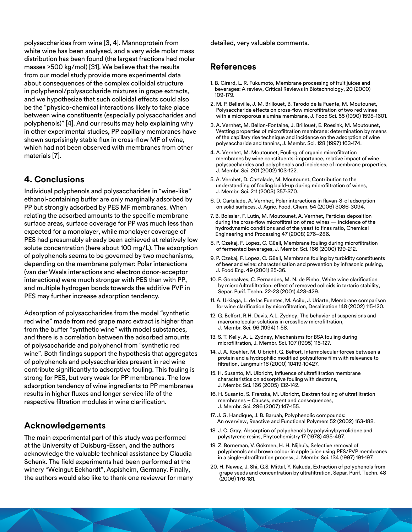polysaccharides from wine [3, 4]. Mannoprotein from white wine has been analysed, and a very wide molar mass distribution has been found (the largest fractions had molar masses >500 kg/mol) [31]. We believe that the results from our model study provide more experimental data about consequences of the complex colloidal structure in polyphenol/polysaccharide mixtures in grape extracts, and we hypothesize that such colloidal effects could also be the "physico-chemical interactions likely to take place between wine constituents (especially polysaccharides and polyphenols)" [4]. And our results may help explaining why in other experimental studies, PP capillary membranes have shown surprisingly stable flux in cross-flow MF of wine, which had not been observed with membranes from other materials [7].

## **4. Conclusions**

Individual polyphenols and polysaccharides in "wine-like" ethanol-containing buffer are only marginally adsorbed by PP but strongly adsorbed by PES MF membranes. When relating the adsorbed amounts to the specific membrane surface areas, surface coverage for PP was much less than expected for a monolayer, while monolayer coverage of PES had presumably already been achieved at relatively low solute concentration (here about 100 mg/L). The adsorption of polyphenols seems to be governed by two mechanisms, depending on the membrane polymer: Polar interactions (van der Waals interactions and electron donor-acceptor interactions) were much stronger with PES than with PP, and multiple hydrogen bonds towards the additive PVP in PES may further increase adsorption tendency.

Adsorption of polysaccharides from the model "synthetic red wine" made from red grape marc extract is higher than from the buffer "synthetic wine" with model substances, and there is a correlation between the adsorbed amounts of polysaccharide and polyphenol from "synthetic red wine". Both findings support the hypothesis that aggregates of polyphenols and polysaccharides present in red wine contribute significantly to adsorptive fouling. This fouling is strong for PES, but very weak for PP membranes. The low adsorption tendency of wine ingredients to PP membranes results in higher fluxes and longer service life of the respective filtration modules in wine clarification.

## **Acknowledgements**

The main experimental part of this study was performed at the University of Duisburg-Essen, and the authors acknowledge the valuable technical assistance by Claudia Schenk. The field experiments had been performed at the winery "Weingut Eckhardt", Aspisheim, Germany. Finally, the authors would also like to thank one reviewer for many detailed, very valuable comments.

## **References**

- 1. B. Girard, L. R. Fukumoto, Membrane processing of fruit juices and beverages: A review, Critical Reviews in Biotechnology, 20 (2000) 109-179.
- 2. M. P. Belleville, J. M. Brillouet, B. Tarodo de la Fuente, M. Moutounet, Polysaccharide effects on cross-flow microfiltration of two red wines with a microporous alumina membrane, J. Food Sci. 55 (1990) 1598-1601.
- 3. A. Vernhet, M. Bellon-Fontaine, J. Brillouet, E. Roesink, M. Moutounet, Wetting properties of microfiltration membrane: determination by means of the capillary rise technique and incidence on the adsorption of wine polysaccharide and tannins, J. Membr. Sci. 128 (1997) 163-174.
- 4. A. Vernhet, M. Moutounet, Fouling of organic microfiltration membranes by wine constituents: importance, relative impact of wine polysaccharides and polyphenols and incidence of membrane properties, J. Membr. Sci. 201 (2002) 103-122.
- 5. A. Vernhet, D. Cartalade, M. Moutounet, Contribution to the understanding of fouling build-up during microfiltration of wines, J. Membr. Sci. 211 (2003) 357-370.
- 6. D. Cartalade, A. Vernhet, Polar interactions in flavan-3-ol adsorption on solid surfaces, J. Agric. Food. Chem. 54 (2006) 3086-3094.
- 7. B. Boissier, F. Lutin, M. Moutounet, A. Vernhet, Particles deposition during the cross-flow microfiltration of red wines — incidence of the hydrodynamic conditions and of the yeast to fines ratio, Chemical Engineering and Processing 47 (2008) 276–286.
- 8. P. Czekaj, F. Lopez, C. Güell, Membrane fouling during microfiltration of fermented beverages, J. Membr. Sci. 166 (2000) 199-212.
- 9. P. Czekaj, F. Lopez, C. Güell, Membrane fouling by turbidity constituents of beer and wine: characterisation and prevention by infrasonic pulsing, J. Food Eng. 49 (2001) 25-36.
- 10. F. Goncalves, C. Fernandes, M. N. de Pinho, White wine clarification by micro/ultrafiltration: effect of removed colloids in tartaric stability, Separ. Purif. Techn. 22-23 (2001) 423-429.
- 11. A. Urkiaga, L. de las Fuentes, M. Acilu, J. Uriarte, Membrane comparison for wine clarification by microfiltration, Desalination 148 (2002) 115-120.
- 12. G. Belfort, R.H. Davis, A.L. Zydney, The behavior of suspensions and macromolecular solutions in crossflow microfiltration, J. Membr. Sci. 96 (1994) 1-58.
- 13. S. T. Kelly, A. L. Zydney, Mechanisms for BSA fouling during microfiltration, J. Membr. Sci. 107 (1995) 115-127.
- 14. J. A. Koehler, M. Ulbricht, G. Belfort, Intermolecular forces between a protein and a hydrophilic modified polysulfone film with relevance to filtration, Langmuir 16 (2000) 10419-10427.
- 15. H. Susanto, M. Ulbricht, Influence of ultrafiltration membrane characteristics on adsorptive fouling with dextrans, J. Membr. Sci. 166 (2005) 132-142.
- 16. H. Susanto, S. Franzka, M. Ulbricht, Dextran fouling of ultrafiltration membranes – Causes, extent and consequences, J. Membr. Sci. 296 (2007) 147-155.
- 17. J. G. Handique, J. B. Baruah, Polyphenolic compounds: An overview, Reactive and Functional Polymers 52 (2002) 163-188.
- 18. J. C. Gray, Absorption of polyphenols by polyvinylpyrrolidone and polystyrene resins, Phytochemistry 17 (1978) 495-497.
- 19. Z. Borneman, V. Gökmen, H. H. Nijhuis, Selective removal of polyphenols and brown colour in apple juice using PES/PVP membranes in a single-ultrafiltration process, J. Membr. Sci. 134 (1997) 191-197.
- 20. H. Nawaz, J. Shi, G.S. Mittal, Y. Kakuda, Extraction of polyphenols from grape seeds and concentration by ultrafiltration, Separ. Purif. Techn. 48 (2006) 176-181.